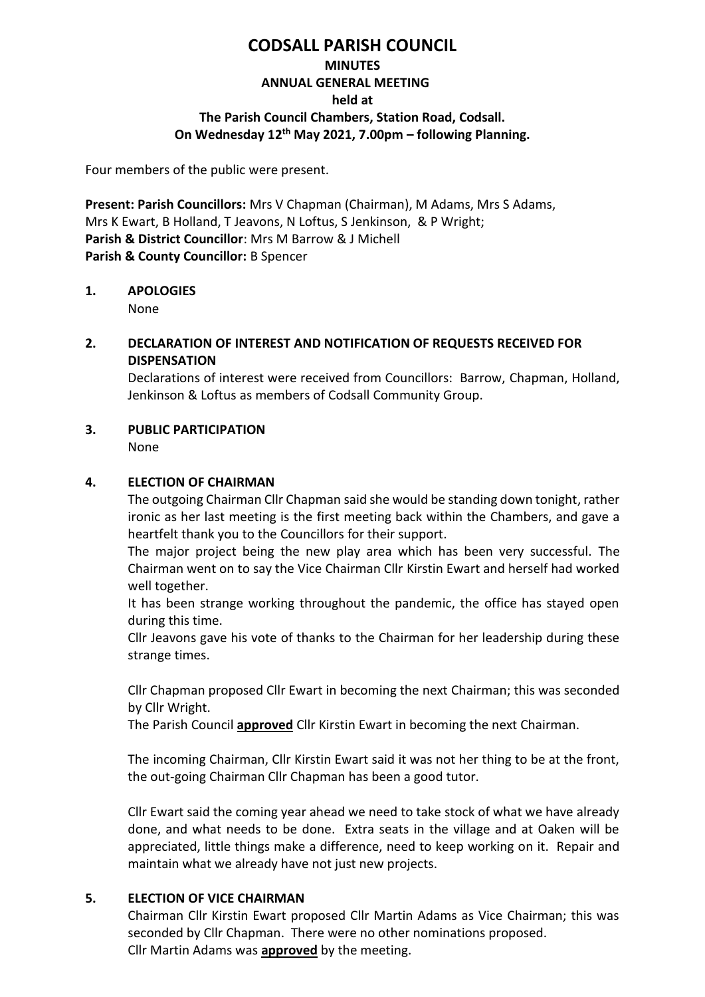# **CODSALL PARISH COUNCIL**

# **MINUTES**

### **ANNUAL GENERAL MEETING**

#### **held at**

## **The Parish Council Chambers, Station Road, Codsall.**

## **On Wednesday 12 th May 2021, 7.00pm – following Planning.**

Four members of the public were present.

**Present: Parish Councillors:** Mrs V Chapman (Chairman), M Adams, Mrs S Adams, Mrs K Ewart, B Holland, T Jeavons, N Loftus, S Jenkinson, & P Wright; **Parish & District Councillor**: Mrs M Barrow & J Michell **Parish & County Councillor:** B Spencer

## **1. APOLOGIES**

None

### **2. DECLARATION OF INTEREST AND NOTIFICATION OF REQUESTS RECEIVED FOR DISPENSATION**

Declarations of interest were received from Councillors: Barrow, Chapman, Holland, Jenkinson & Loftus as members of Codsall Community Group.

## **3. PUBLIC PARTICIPATION**

None

### **4. ELECTION OF CHAIRMAN**

The outgoing Chairman Cllr Chapman said she would be standing down tonight, rather ironic as her last meeting is the first meeting back within the Chambers, and gave a heartfelt thank you to the Councillors for their support.

 The major project being the new play area which has been very successful. The Chairman went on to say the Vice Chairman Cllr Kirstin Ewart and herself had worked well together.

It has been strange working throughout the pandemic, the office has stayed open during this time.

Cllr Jeavons gave his vote of thanks to the Chairman for her leadership during these strange times.

Cllr Chapman proposed Cllr Ewart in becoming the next Chairman; this was seconded by Cllr Wright.

The Parish Council **approved** Cllr Kirstin Ewart in becoming the next Chairman.

The incoming Chairman, Cllr Kirstin Ewart said it was not her thing to be at the front, the out-going Chairman Cllr Chapman has been a good tutor.

Cllr Ewart said the coming year ahead we need to take stock of what we have already done, and what needs to be done. Extra seats in the village and at Oaken will be appreciated, little things make a difference, need to keep working on it. Repair and maintain what we already have not just new projects.

## **5. ELECTION OF VICE CHAIRMAN**

Chairman Cllr Kirstin Ewart proposed Cllr Martin Adams as Vice Chairman; this was seconded by Cllr Chapman. There were no other nominations proposed. Cllr Martin Adams was **approved** by the meeting.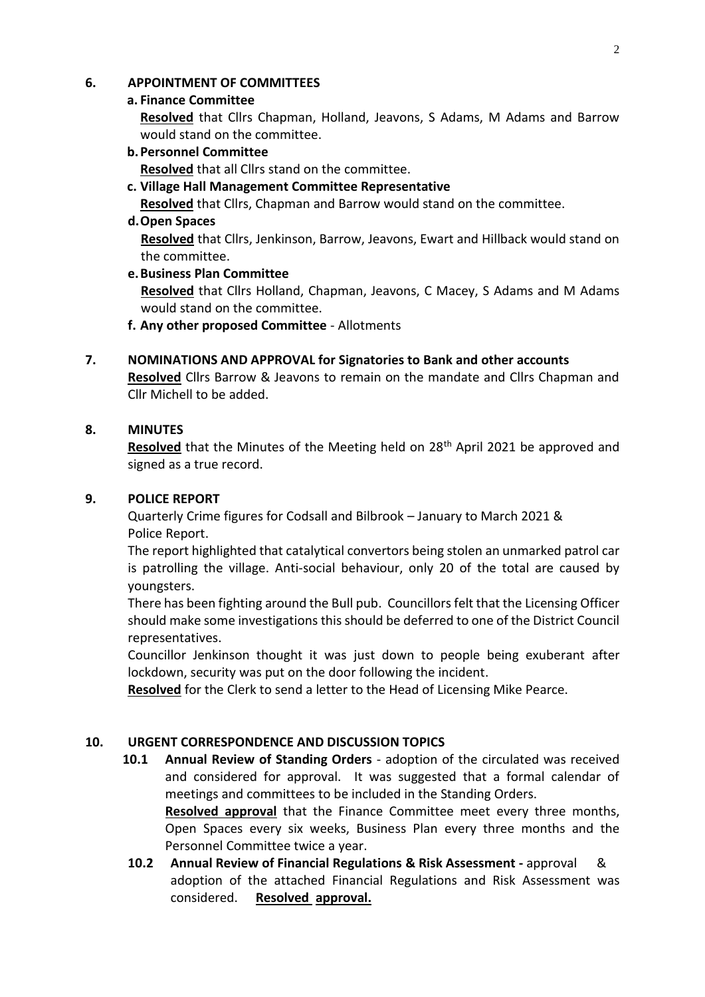### **6. APPOINTMENT OF COMMITTEES**

#### **a. Finance Committee**

**Resolved** that Cllrs Chapman, Holland, Jeavons, S Adams, M Adams and Barrow would stand on the committee.

**b.Personnel Committee**

**Resolved** that all Cllrs stand on the committee.

**c. Village Hall Management Committee Representative**

**Resolved** that Cllrs, Chapman and Barrow would stand on the committee.

#### **d.Open Spaces**

**Resolved** that Cllrs, Jenkinson, Barrow, Jeavons, Ewart and Hillback would stand on the committee.

#### **e.Business Plan Committee**

**Resolved** that Cllrs Holland, Chapman, Jeavons, C Macey, S Adams and M Adams would stand on the committee.

- **f. Any other proposed Committee** Allotments
- **7. NOMINATIONS AND APPROVAL for Signatories to Bank and other accounts Resolved** Cllrs Barrow & Jeavons to remain on the mandate and Cllrs Chapman and Cllr Michell to be added.

### **8. MINUTES**

**Resolved** that the Minutes of the Meeting held on 28<sup>th</sup> April 2021 be approved and signed as a true record.

#### **9. POLICE REPORT**

Quarterly Crime figures for Codsall and Bilbrook – January to March 2021 & Police Report.

The report highlighted that catalytical convertors being stolen an unmarked patrol car is patrolling the village. Anti-social behaviour, only 20 of the total are caused by youngsters.

There has been fighting around the Bull pub. Councillors felt that the Licensing Officer should make some investigations this should be deferred to one of the District Council representatives.

Councillor Jenkinson thought it was just down to people being exuberant after lockdown, security was put on the door following the incident.

**Resolved** for the Clerk to send a letter to the Head of Licensing Mike Pearce.

#### **10. URGENT CORRESPONDENCE AND DISCUSSION TOPICS**

**10.1 Annual Review of Standing Orders** - adoption of the circulated was received and considered for approval. It was suggested that a formal calendar of meetings and committees to be included in the Standing Orders.

**Resolved approval** that the Finance Committee meet every three months, Open Spaces every six weeks, Business Plan every three months and the Personnel Committee twice a year.

**10.2 Annual Review of Financial Regulations & Risk Assessment -** approval & adoption of the attached Financial Regulations and Risk Assessment was considered. **Resolved approval.**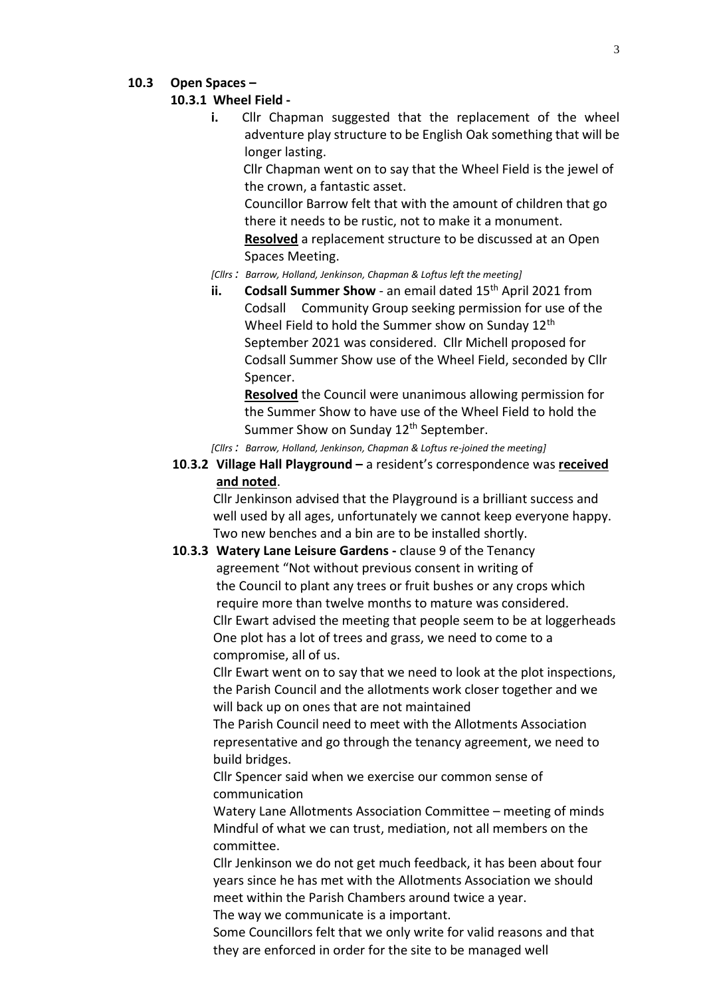#### **10.3 Open Spaces –**

#### **10.3.1 Wheel Field -**

**i.** Cllr Chapman suggested that the replacement of the wheel adventure play structure to be English Oak something that will be longer lasting.

 Cllr Chapman went on to say that the Wheel Field is the jewel of the crown, a fantastic asset.

Councillor Barrow felt that with the amount of children that go there it needs to be rustic, not to make it a monument.

**Resolved** a replacement structure to be discussed at an Open Spaces Meeting.

*[Cllrs : Barrow, Holland, Jenkinson, Chapman & Loftus left the meeting]*

**ii.** Codsall Summer Show - an email dated 15<sup>th</sup> April 2021 from Codsall Community Group seeking permission for use of the Wheel Field to hold the Summer show on Sunday 12<sup>th</sup> September 2021 was considered. Cllr Michell proposed for Codsall Summer Show use of the Wheel Field, seconded by Cllr Spencer.

**Resolved** the Council were unanimous allowing permission for the Summer Show to have use of the Wheel Field to hold the Summer Show on Sunday 12<sup>th</sup> September.

*[Cllrs : Barrow, Holland, Jenkinson, Chapman & Loftus re-joined the meeting]*

**10**.**3.2 Village Hall Playground –** a resident's correspondence was **received and noted**.

Cllr Jenkinson advised that the Playground is a brilliant success and well used by all ages, unfortunately we cannot keep everyone happy. Two new benches and a bin are to be installed shortly.

**10**.**3.3 Watery Lane Leisure Gardens -** clause 9 of the Tenancy agreement "Not without previous consent in writing of the Council to plant any trees or fruit bushes or any crops which require more than twelve months to mature was considered. Cllr Ewart advised the meeting that people seem to be at loggerheads One plot has a lot of trees and grass, we need to come to a compromise, all of us.

Cllr Ewart went on to say that we need to look at the plot inspections, the Parish Council and the allotments work closer together and we will back up on ones that are not maintained

The Parish Council need to meet with the Allotments Association representative and go through the tenancy agreement, we need to build bridges.

Cllr Spencer said when we exercise our common sense of communication

Watery Lane Allotments Association Committee – meeting of minds Mindful of what we can trust, mediation, not all members on the committee.

Cllr Jenkinson we do not get much feedback, it has been about four years since he has met with the Allotments Association we should meet within the Parish Chambers around twice a year.

The way we communicate is a important.

Some Councillors felt that we only write for valid reasons and that they are enforced in order for the site to be managed well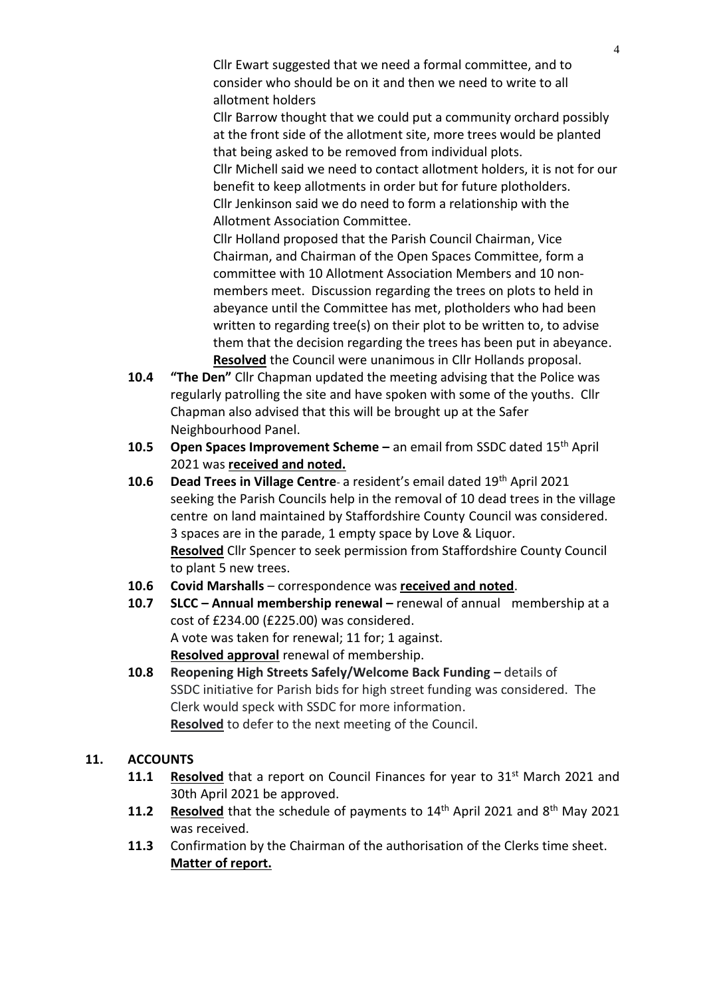Cllr Ewart suggested that we need a formal committee, and to consider who should be on it and then we need to write to all allotment holders

Cllr Barrow thought that we could put a community orchard possibly at the front side of the allotment site, more trees would be planted that being asked to be removed from individual plots.

Cllr Michell said we need to contact allotment holders, it is not for our benefit to keep allotments in order but for future plotholders. Cllr Jenkinson said we do need to form a relationship with the Allotment Association Committee.

Cllr Holland proposed that the Parish Council Chairman, Vice Chairman, and Chairman of the Open Spaces Committee, form a committee with 10 Allotment Association Members and 10 nonmembers meet. Discussion regarding the trees on plots to held in abeyance until the Committee has met, plotholders who had been written to regarding tree(s) on their plot to be written to, to advise them that the decision regarding the trees has been put in abeyance. **Resolved** the Council were unanimous in Cllr Hollands proposal.

- **10.4 "The Den"** Cllr Chapman updated the meeting advising that the Police was regularly patrolling the site and have spoken with some of the youths. Cllr Chapman also advised that this will be brought up at the Safer Neighbourhood Panel.
- **10.5 Open Spaces Improvement Scheme –** an email from SSDC dated 15th April 2021 was **received and noted.**
- **10.6 Dead Trees in Village Centre** a resident's email dated 19th April 2021 seeking the Parish Councils help in the removal of 10 dead trees in the village centre on land maintained by Staffordshire County Council was considered. 3 spaces are in the parade, 1 empty space by Love & Liquor. **Resolved** Cllr Spencer to seek permission from Staffordshire County Council to plant 5 new trees.
- **10.6 Covid Marshalls**  correspondence was **received and noted**.
- **10.7 SLCC – Annual membership renewal –** renewal of annual membership at a cost of £234.00 (£225.00) was considered. A vote was taken for renewal; 11 for; 1 against. **Resolved approval** renewal of membership.
- **10.8 Reopening High Streets Safely/Welcome Back Funding –** details of SSDC initiative for Parish bids for high street funding was considered. The Clerk would speck with SSDC for more information. **Resolved** to defer to the next meeting of the Council.

# **11. ACCOUNTS**

- **11.1 Resolved** that a report on Council Finances for year to 31<sup>st</sup> March 2021 and 30th April 2021 be approved.
- **11.2** Resolved that the schedule of payments to 14<sup>th</sup> April 2021 and 8<sup>th</sup> May 2021 was received.
- **11.3** Confirmation by the Chairman of the authorisation of the Clerks time sheet. **Matter of report.**